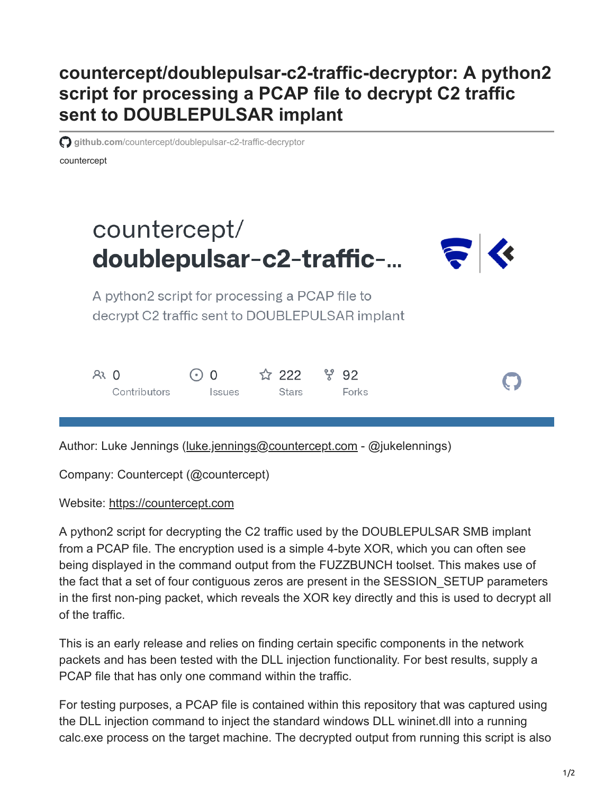## **countercept/doublepulsar-c2-traffic-decryptor: A python2 script for processing a PCAP file to decrypt C2 traffic sent to DOUBLEPULSAR implant**

**example in the state of the control of the control of the control of the state of the state of the control of the state Control of Distribution of <b>c** gitch state Control of the control of the control of the control of th

countercept

## countercept/ doublepulsar-c2-traffic-...



A python2 script for processing a PCAP file to decrypt C2 traffic sent to DOUBLEPULSAR implant

| $R3$ 0       | $\bigcirc$ 0 $\qquad \qquad$ 1222 $\qquad$ $\qquad$ $\qquad$ 92 |       |       |
|--------------|-----------------------------------------------------------------|-------|-------|
| Contributors | <i><u><b>Issues</b></u></i>                                     | Stars | Forks |

Author: Luke Jennings ([luke.jennings@countercept.com](http://10.10.0.46/mailto:luke.jennings@countercept.com) - @jukelennings)

Company: Countercept (@countercept)

Website: [https://countercept.com](https://countercept.com/)

A python2 script for decrypting the C2 traffic used by the DOUBLEPULSAR SMB implant from a PCAP file. The encryption used is a simple 4-byte XOR, which you can often see being displayed in the command output from the FUZZBUNCH toolset. This makes use of the fact that a set of four contiguous zeros are present in the SESSION\_SETUP parameters in the first non-ping packet, which reveals the XOR key directly and this is used to decrypt all of the traffic.

This is an early release and relies on finding certain specific components in the network packets and has been tested with the DLL injection functionality. For best results, supply a PCAP file that has only one command within the traffic.

For testing purposes, a PCAP file is contained within this repository that was captured using the DLL injection command to inject the standard windows DLL wininet.dll into a running calc.exe process on the target machine. The decrypted output from running this script is also